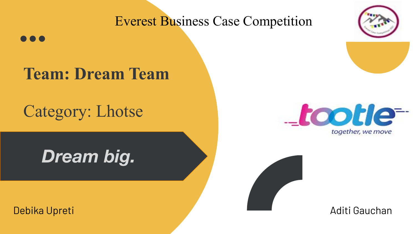### Everest Business Case Competition

## **Team: Dream Team**

Category: Lhotse

**Dream big.** *Dream big.*



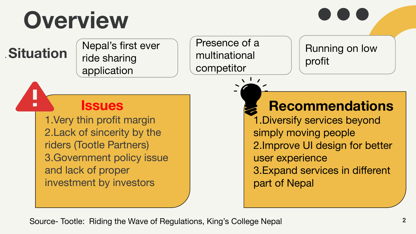# **Overview**

**Situation**  $\int_{\text{ridge charge}}^{\text{Nepal's first ever}}$ ride sharing application

#### Presence of a multinational competitor

 $\sqrt{1}$ 

Running on low profit

### **Issues**

1.Very thin profit margin 2.Lack of sincerity by the riders (Tootle Partners) 3.Government policy issue and lack of proper investment by investors

### **Recommendations**

1.Diversify services beyond simply moving people 2.Improve UI design for better user experience 3.Expand services in different part of Nepal

Source- Tootle: Riding the Wave of Regulations, King's College Nepal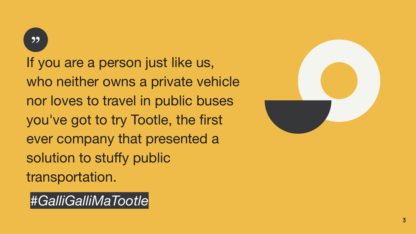99

If you are a person just like us, who neither owns a private vehicle nor loves to travel in public buses you've got to try Tootle, the first ever company that presented a solution to stuffy public transportation.



*#GalliGalliMaTootle*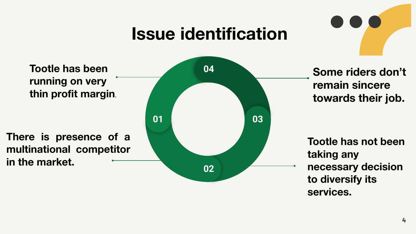## **Issue identification**

**Tootle has been running on very thin profit margin.**

**There is presence of a multinational competitor in the market.** 



**remain sincere towards their job.**

**Tootle has not been taking any necessary decision to diversify its services.**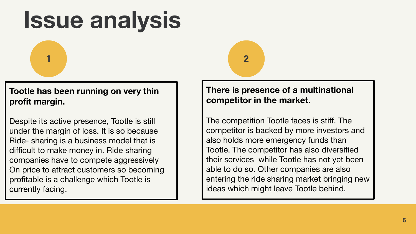## **Issue analysis**

**1 2**

#### **Tootle has been running on very thin profit margin.**

Despite its active presence, Tootle is still under the margin of loss. It is so because Ride- sharing is a business model that is difficult to make money in. Ride sharing companies have to compete aggressively On price to attract customers so becoming profitable is a challenge which Tootle is currently facing.

#### **There is presence of a multinational competitor in the market.**

The competition Tootle faces is stiff. The competitor is backed by more investors and also holds more emergency funds than Tootle. The competitor has also diversified their services while Tootle has not yet been able to do so. Other companies are also entering the ride sharing market bringing new ideas which might leave Tootle behind.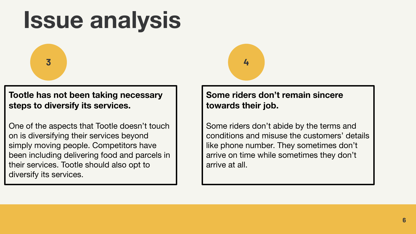## **Issue analysis**



**Tootle has not been taking necessary steps to diversify its services.**

One of the aspects that Tootle doesn't touch on is diversifying their services beyond simply moving people. Competitors have been including delivering food and parcels in their services. Tootle should also opt to diversify its services.



#### **Some riders don't remain sincere towards their job.**

Some riders don't abide by the terms and conditions and misuse the customers' details like phone number. They sometimes don't arrive on time while sometimes they don't arrive at all.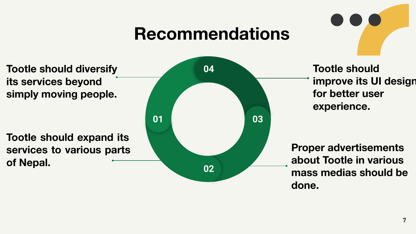## **Recommendations**

**Tootle should diversify its services beyond simply moving people.**

**Tootle should expand its services to various parts of Nepal.**



**Tootle should improve its UI design for better user experience.**

**Proper advertisements about Tootle in various mass medias should be done.**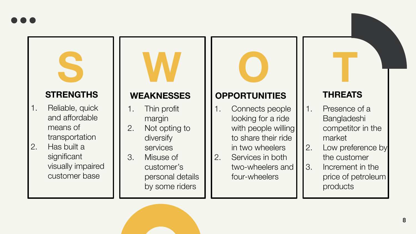## **S W O T STRENGTHS**

- 1. Reliable, quick and affordable means of transportation
- 2. Has built a significant visually impaired customer base

- 1. Thin profit margin
- 2. Not opting to diversify services
- 3. Misuse of customer's personal details by some riders

#### **WEAKNESSES OPPORTUNITIES**

- 1. Connects people looking for a ride with people willing to share their ride in two wheelers
- 2. Services in both two-wheelers and four-wheelers

#### **THREATS**

- 1. Presence of a Bangladeshi competitor in the market
- 2. Low preference by the customer
- 3. Increment in the price of petroleum products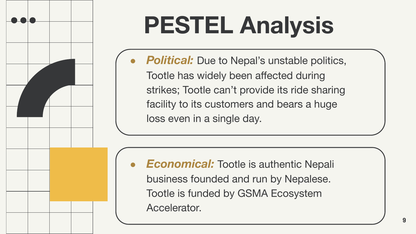

**Political:** Due to Nepal's unstable politics, Tootle has widely been affected during strikes; Tootle can't provide its ride sharing facility to its customers and bears a huge loss even in a single day.

*Economical:* Tootle is authentic Nepali business founded and run by Nepalese. Tootle is funded by GSMA Ecosystem Accelerator.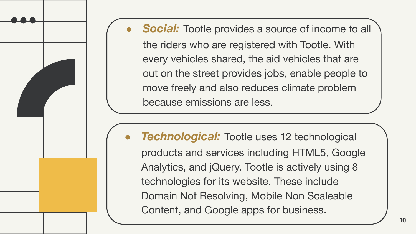**Social:** Tootle provides a source of income to all the riders who are registered with Tootle. With every vehicles shared, the aid vehicles that are out on the street provides jobs, enable people to move freely and also reduces climate problem because emissions are less.

*Technological:* Tootle uses 12 technological products and services including HTML5, Google Analytics, and jQuery. Tootle is actively using 8 technologies for its website. These include Domain Not Resolving, Mobile Non Scaleable Content, and Google apps for business.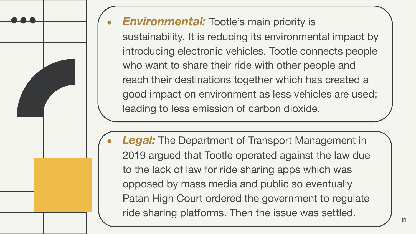

### **Environmental:** Tootle's main priority is

sustainability. It is reducing its environmental impact by introducing electronic vehicles. Tootle connects people who want to share their ride with other people and reach their destinations together which has created a good impact on environment as less vehicles are used; leading to less emission of carbon dioxide.

**Legal:** The Department of Transport Management in 2019 argued that Tootle operated against the law due to the lack of law for ride sharing apps which was opposed by mass media and public so eventually Patan High Court ordered the government to regulate ride sharing platforms. Then the issue was settled.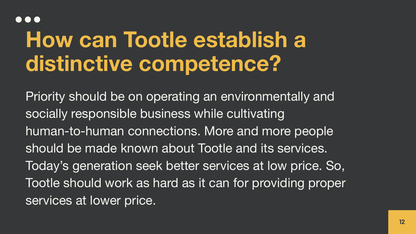#### $\bullet$   $\bullet$

## **How can Tootle establish a distinctive competence?**

Priority should be on operating an environmentally and socially responsible business while cultivating human-to-human connections. More and more people should be made known about Tootle and its services. Today's generation seek better services at low price. So, Tootle should work as hard as it can for providing proper services at lower price.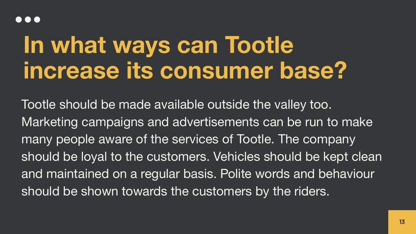## **In what ways can Tootle increase its consumer base?**

Tootle should be made available outside the valley too. Marketing campaigns and advertisements can be run to make many people aware of the services of Tootle. The company should be loyal to the customers. Vehicles should be kept clean and maintained on a regular basis. Polite words and behaviour should be shown towards the customers by the riders.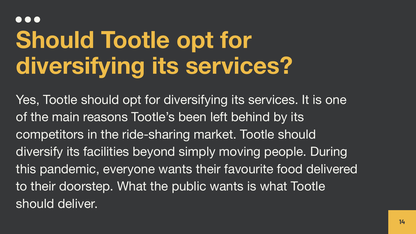### **...**

# **Should Tootle opt for diversifying its services?**

Yes, Tootle should opt for diversifying its services. It is one of the main reasons Tootle's been left behind by its competitors in the ride-sharing market. Tootle should diversify its facilities beyond simply moving people. During this pandemic, everyone wants their favourite food delivered to their doorstep. What the public wants is what Tootle should deliver.